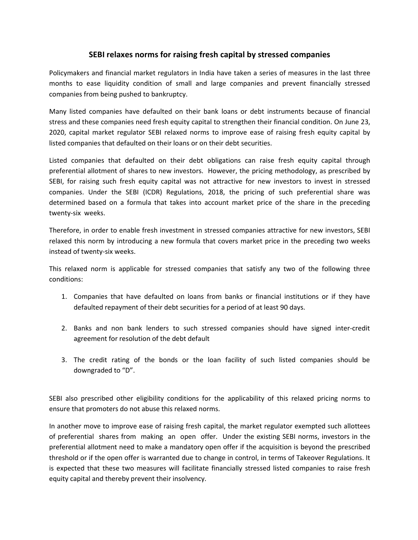## **SEBI relaxes norms for raising fresh capital by stressed companies**

Policymakers and financial market regulators in India have taken a series of measures in the last three months to ease liquidity condition of small and large companies and prevent financially stressed companies from being pushed to bankruptcy.

Many listed companies have defaulted on their bank loans or debt instruments because of financial stress and these companies need fresh equity capital to strengthen their financial condition. On June 23, 2020, capital market regulator SEBI relaxed norms to improve ease of raising fresh equity capital by listed companies that defaulted on their loans or on their debt securities.

Listed companies that defaulted on their debt obligations can raise fresh equity capital through preferential allotment of shares to new investors. However, the pricing methodology, as prescribed by SEBI, for raising such fresh equity capital was not attractive for new investors to invest in stressed companies. Under the SEBI (ICDR) Regulations, 2018, the pricing of such preferential share was determined based on a formula that takes into account market price of the share in the preceding twenty-six weeks.

Therefore, in order to enable fresh investment in stressed companies attractive for new investors, SEBI relaxed this norm by introducing a new formula that covers market price in the preceding two weeks instead of twenty-six weeks.

This relaxed norm is applicable for stressed companies that satisfy any two of the following three conditions:

- 1. Companies that have defaulted on loans from banks or financial institutions or if they have defaulted repayment of their debt securities for a period of at least 90 days.
- 2. Banks and non bank lenders to such stressed companies should have signed inter-credit agreement for resolution of the debt default
- 3. The credit rating of the bonds or the loan facility of such listed companies should be downgraded to "D".

SEBI also prescribed other eligibility conditions for the applicability of this relaxed pricing norms to ensure that promoters do not abuse this relaxed norms.

In another move to improve ease of raising fresh capital, the market regulator exempted such allottees of preferential shares from making anopen offer. Under the existing SEBI norms, investors in the preferential allotment need to make a mandatory open offer ifthe acquisition is beyond the prescribed threshold or if the open offer is warranted due to change in control, in terms of Takeover Regulations. It is expected that these two measures will facilitate financially stressed listed companies to raise fresh equity capital and thereby prevent their insolvency.